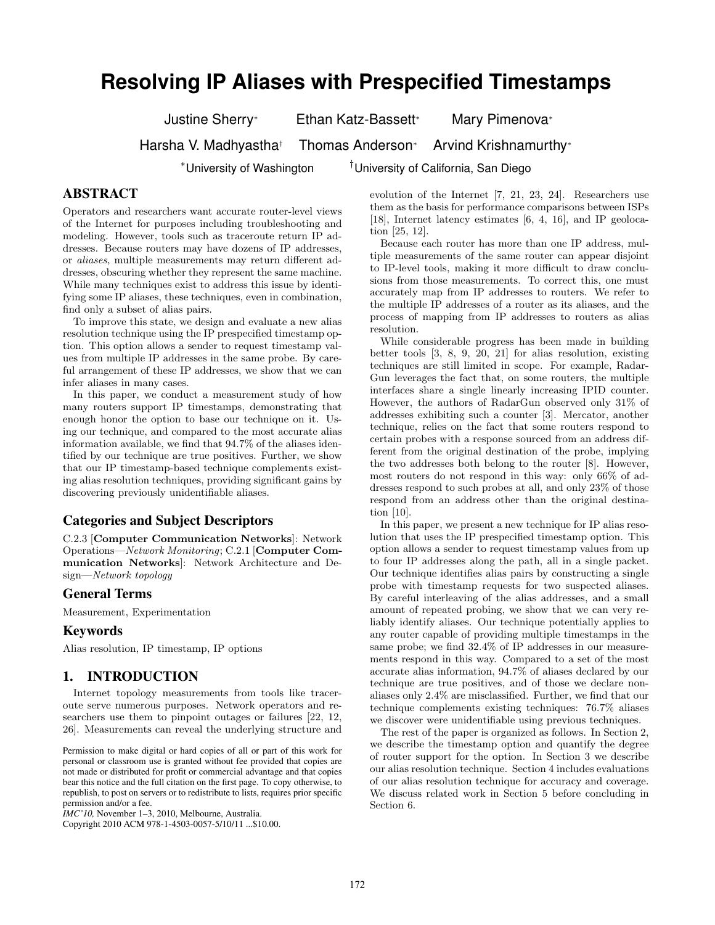# **Resolving IP Aliases with Prespecified Timestamps**

Justine Sherry<sup>∗</sup> Ethan Katz-Bassett<sup>∗</sup> Mary Pimenova<sup>∗</sup>

Harsha V. Madhyastha† Thomas Anderson<sup>∗</sup> Arvind Krishnamurthy<sup>∗</sup>

∗University of Washington †

# University of California, San Diego

# ABSTRACT

Operators and researchers want accurate router-level views of the Internet for purposes including troubleshooting and modeling. However, tools such as traceroute return IP addresses. Because routers may have dozens of IP addresses, or *aliases*, multiple measurements may return different addresses, obscuring whether they represent the same machine. While many techniques exist to address this issue by identifying some IP aliases, these techniques, even in combination, find only a subset of alias pairs.

To improve this state, we design and evaluate a new alias resolution technique using the IP prespecified timestamp option. This option allows a sender to request timestamp values from multiple IP addresses in the same probe. By careful arrangement of these IP addresses, we show that we can infer aliases in many cases.

In this paper, we conduct a measurement study of how many routers support IP timestamps, demonstrating that enough honor the option to base our technique on it. Using our technique, and compared to the most accurate alias information available, we find that 94.7% of the aliases identified by our technique are true positives. Further, we show that our IP timestamp-based technique complements existing alias resolution techniques, providing significant gains by discovering previously unidentifiable aliases.

# Categories and Subject Descriptors

C.2.3 [Computer Communication Networks]: Network Operations—*Network Monitoring*; C.2.1 [Computer Communication Networks]: Network Architecture and Design—*Network topology*

## General Terms

Measurement, Experimentation

# Keywords

Alias resolution, IP timestamp, IP options

# 1. INTRODUCTION

Internet topology measurements from tools like traceroute serve numerous purposes. Network operators and researchers use them to pinpoint outages or failures [22, 12, 26]. Measurements can reveal the underlying structure and

Copyright 2010 ACM 978-1-4503-0057-5/10/11 ...\$10.00.

evolution of the Internet [7, 21, 23, 24]. Researchers use them as the basis for performance comparisons between ISPs [18], Internet latency estimates [6, 4, 16], and IP geolocation [25, 12].

Because each router has more than one IP address, multiple measurements of the same router can appear disjoint to IP-level tools, making it more difficult to draw conclusions from those measurements. To correct this, one must accurately map from IP addresses to routers. We refer to the multiple IP addresses of a router as its aliases, and the process of mapping from IP addresses to routers as alias resolution.

While considerable progress has been made in building better tools [3, 8, 9, 20, 21] for alias resolution, existing techniques are still limited in scope. For example, Radar-Gun leverages the fact that, on some routers, the multiple interfaces share a single linearly increasing IPID counter. However, the authors of RadarGun observed only 31% of addresses exhibiting such a counter [3]. Mercator, another technique, relies on the fact that some routers respond to certain probes with a response sourced from an address different from the original destination of the probe, implying the two addresses both belong to the router [8]. However, most routers do not respond in this way: only 66% of addresses respond to such probes at all, and only 23% of those respond from an address other than the original destination [10].

In this paper, we present a new technique for IP alias resolution that uses the IP prespecified timestamp option. This option allows a sender to request timestamp values from up to four IP addresses along the path, all in a single packet. Our technique identifies alias pairs by constructing a single probe with timestamp requests for two suspected aliases. By careful interleaving of the alias addresses, and a small amount of repeated probing, we show that we can very reliably identify aliases. Our technique potentially applies to any router capable of providing multiple timestamps in the same probe; we find 32.4% of IP addresses in our measurements respond in this way. Compared to a set of the most accurate alias information, 94.7% of aliases declared by our technique are true positives, and of those we declare nonaliases only 2.4% are misclassified. Further, we find that our technique complements existing techniques: 76.7% aliases we discover were unidentifiable using previous techniques.

The rest of the paper is organized as follows. In Section 2, we describe the timestamp option and quantify the degree of router support for the option. In Section 3 we describe our alias resolution technique. Section 4 includes evaluations of our alias resolution technique for accuracy and coverage. We discuss related work in Section 5 before concluding in Section 6.

Permission to make digital or hard copies of all or part of this work for personal or classroom use is granted without fee provided that copies are not made or distributed for profit or commercial advantage and that copies bear this notice and the full citation on the first page. To copy otherwise, to republish, to post on servers or to redistribute to lists, requires prior specific permission and/or a fee.

*IMC'10,* November 1–3, 2010, Melbourne, Australia.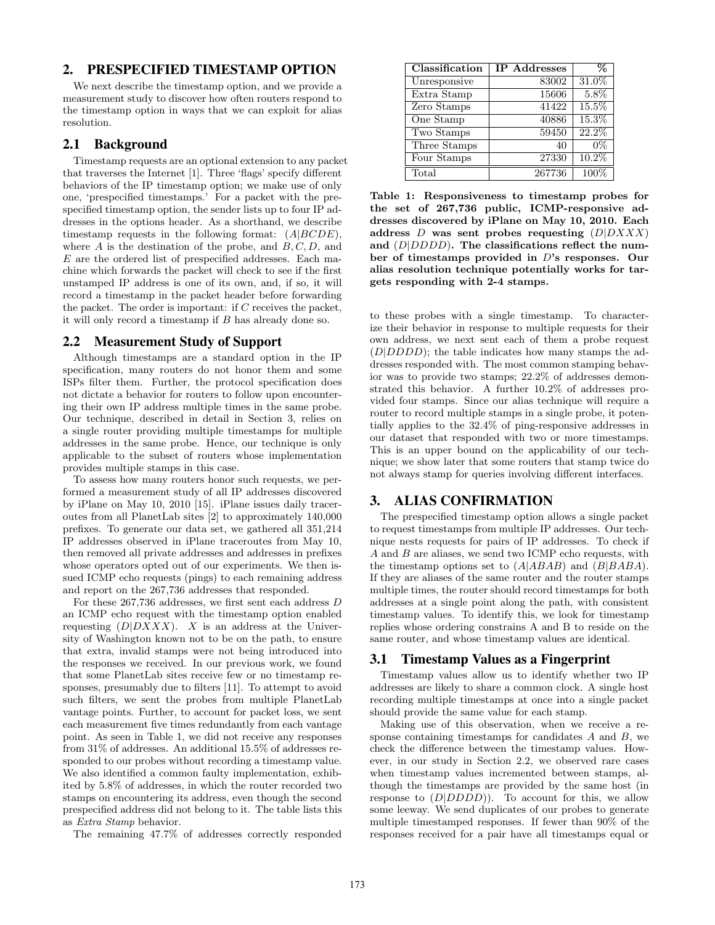# 2. PRESPECIFIED TIMESTAMP OPTION

We next describe the timestamp option, and we provide a measurement study to discover how often routers respond to the timestamp option in ways that we can exploit for alias resolution.

## 2.1 Background

Timestamp requests are an optional extension to any packet that traverses the Internet [1]. Three 'flags' specify different behaviors of the IP timestamp option; we make use of only one, 'prespecified timestamps.' For a packet with the prespecified timestamp option, the sender lists up to four IP addresses in the options header. As a shorthand, we describe timestamp requests in the following format:  $(A|BCDE)$ , where  $A$  is the destination of the probe, and  $B, C, D$ , and E are the ordered list of prespecified addresses. Each machine which forwards the packet will check to see if the first unstamped IP address is one of its own, and, if so, it will record a timestamp in the packet header before forwarding the packet. The order is important: if  $C$  receives the packet, it will only record a timestamp if B has already done so.

#### 2.2 Measurement Study of Support

Although timestamps are a standard option in the IP specification, many routers do not honor them and some ISPs filter them. Further, the protocol specification does not dictate a behavior for routers to follow upon encountering their own IP address multiple times in the same probe. Our technique, described in detail in Section 3, relies on a single router providing multiple timestamps for multiple addresses in the same probe. Hence, our technique is only applicable to the subset of routers whose implementation provides multiple stamps in this case.

To assess how many routers honor such requests, we performed a measurement study of all IP addresses discovered by iPlane on May 10, 2010 [15]. iPlane issues daily traceroutes from all PlanetLab sites [2] to approximately 140,000 prefixes. To generate our data set, we gathered all 351,214 IP addresses observed in iPlane traceroutes from May 10, then removed all private addresses and addresses in prefixes whose operators opted out of our experiments. We then issued ICMP echo requests (pings) to each remaining address and report on the 267,736 addresses that responded.

For these 267,736 addresses, we first sent each address D an ICMP echo request with the timestamp option enabled requesting  $(D|DXXX)$ . X is an address at the University of Washington known not to be on the path, to ensure that extra, invalid stamps were not being introduced into the responses we received. In our previous work, we found that some PlanetLab sites receive few or no timestamp responses, presumably due to filters [11]. To attempt to avoid such filters, we sent the probes from multiple PlanetLab vantage points. Further, to account for packet loss, we sent each measurement five times redundantly from each vantage point. As seen in Table 1, we did not receive any responses from 31% of addresses. An additional 15.5% of addresses responded to our probes without recording a timestamp value. We also identified a common faulty implementation, exhibited by 5.8% of addresses, in which the router recorded two stamps on encountering its address, even though the second prespecified address did not belong to it. The table lists this as *Extra Stamp* behavior.

The remaining 47.7% of addresses correctly responded

| Classification | <b>IP</b> Addresses | %        |
|----------------|---------------------|----------|
| Unresponsive   | 83002               | 31.0%    |
| Extra Stamp    | 15606               | 5.8%     |
| Zero Stamps    | 41422               | 15.5%    |
| One Stamp      | 40886               | $15.3\%$ |
| Two Stamps     | 59450               | 22.2%    |
| Three Stamps   | 40                  | 0%       |
| Four Stamps    | 27330               | 10.2%    |
| Total          | 267736              | 100%     |

Table 1: Responsiveness to timestamp probes for the set of 267,736 public, ICMP-responsive addresses discovered by iPlane on May 10, 2010. Each address D was sent probes requesting  $(D|DXXX)$ and  $(D|DDD)$ . The classifications reflect the number of timestamps provided in D's responses. Our alias resolution technique potentially works for targets responding with 2-4 stamps.

to these probes with a single timestamp. To characterize their behavior in response to multiple requests for their own address, we next sent each of them a probe request  $(D|DDD)$ ; the table indicates how many stamps the addresses responded with. The most common stamping behavior was to provide two stamps; 22.2% of addresses demonstrated this behavior. A further 10.2% of addresses provided four stamps. Since our alias technique will require a router to record multiple stamps in a single probe, it potentially applies to the 32.4% of ping-responsive addresses in our dataset that responded with two or more timestamps. This is an upper bound on the applicability of our technique; we show later that some routers that stamp twice do not always stamp for queries involving different interfaces.

# 3. ALIAS CONFIRMATION

The prespecified timestamp option allows a single packet to request timestamps from multiple IP addresses. Our technique nests requests for pairs of IP addresses. To check if A and B are aliases, we send two ICMP echo requests, with the timestamp options set to  $(A|ABAB)$  and  $(B|BABA)$ . If they are aliases of the same router and the router stamps multiple times, the router should record timestamps for both addresses at a single point along the path, with consistent timestamp values. To identify this, we look for timestamp replies whose ordering constrains A and B to reside on the same router, and whose timestamp values are identical.

#### 3.1 Timestamp Values as a Fingerprint

Timestamp values allow us to identify whether two IP addresses are likely to share a common clock. A single host recording multiple timestamps at once into a single packet should provide the same value for each stamp.

Making use of this observation, when we receive a response containing timestamps for candidates  $A$  and  $B$ , we check the difference between the timestamp values. However, in our study in Section 2.2, we observed rare cases when timestamp values incremented between stamps, although the timestamps are provided by the same host (in response to  $(D|DDD)$ ). To account for this, we allow some leeway. We send duplicates of our probes to generate multiple timestamped responses. If fewer than 90% of the responses received for a pair have all timestamps equal or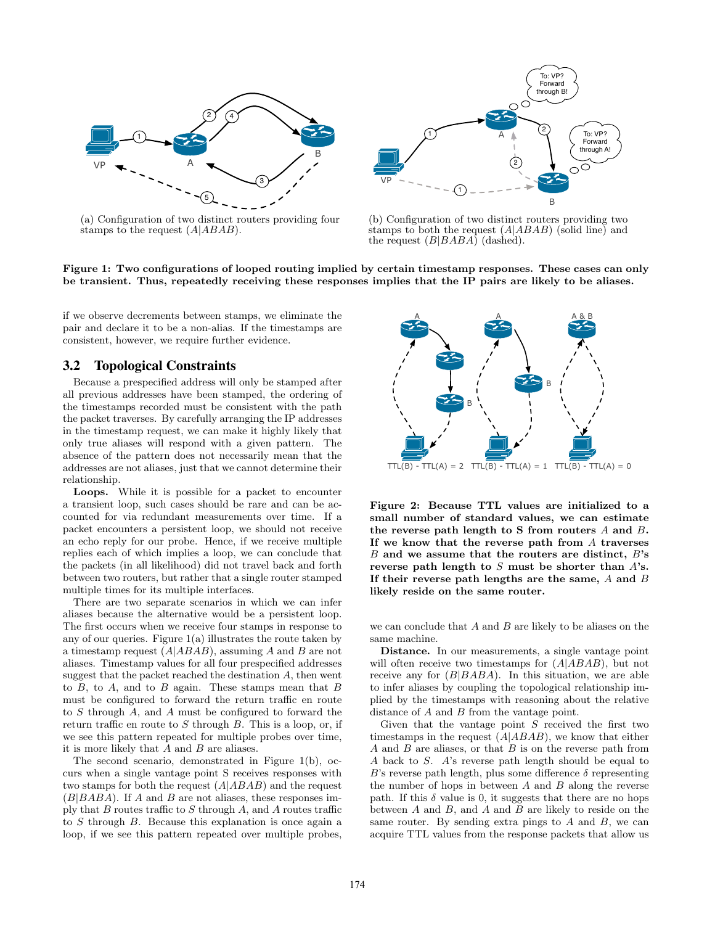

(a) Configuration of two distinct routers providing four stamps to the request  $(A|ABAB)$ .



(b) Configuration of two distinct routers providing two stamps to both the request  $(A|ABAB)$  (solid line) and the request  $(B|BABA)$  (dashed).

#### Figure 1: Two configurations of looped routing implied by certain timestamp responses. These cases can only be transient. Thus, repeatedly receiving these responses implies that the IP pairs are likely to be aliases.

if we observe decrements between stamps, we eliminate the pair and declare it to be a non-alias. If the timestamps are consistent, however, we require further evidence.

# 3.2 Topological Constraints

Because a prespecified address will only be stamped after all previous addresses have been stamped, the ordering of the timestamps recorded must be consistent with the path the packet traverses. By carefully arranging the IP addresses in the timestamp request, we can make it highly likely that only true aliases will respond with a given pattern. The absence of the pattern does not necessarily mean that the addresses are not aliases, just that we cannot determine their relationship.

Loops. While it is possible for a packet to encounter a transient loop, such cases should be rare and can be accounted for via redundant measurements over time. If a packet encounters a persistent loop, we should not receive an echo reply for our probe. Hence, if we receive multiple replies each of which implies a loop, we can conclude that the packets (in all likelihood) did not travel back and forth between two routers, but rather that a single router stamped multiple times for its multiple interfaces.

There are two separate scenarios in which we can infer aliases because the alternative would be a persistent loop. The first occurs when we receive four stamps in response to any of our queries. Figure 1(a) illustrates the route taken by a timestamp request  $(A|ABAB)$ , assuming A and B are not aliases. Timestamp values for all four prespecified addresses suggest that the packet reached the destination A, then went to  $B$ , to  $A$ , and to  $B$  again. These stamps mean that  $B$ must be configured to forward the return traffic en route to  $S$  through  $A$ , and  $A$  must be configured to forward the return traffic en route to  $S$  through  $B$ . This is a loop, or, if we see this pattern repeated for multiple probes over time, it is more likely that A and B are aliases.

The second scenario, demonstrated in Figure 1(b), occurs when a single vantage point S receives responses with two stamps for both the request  $(A|ABAB)$  and the request  $(B|BABA)$ . If A and B are not aliases, these responses imply that  $B$  routes traffic to  $S$  through  $A$ , and  $A$  routes traffic to S through B. Because this explanation is once again a loop, if we see this pattern repeated over multiple probes,



Figure 2: Because TTL values are initialized to a small number of standard values, we can estimate the reverse path length to S from routers A and B. If we know that the reverse path from  $A$  traverses  $B$  and we assume that the routers are distinct,  $B$ 's reverse path length to  $S$  must be shorter than  $A$ 's. If their reverse path lengths are the same,  $A$  and  $B$ likely reside on the same router.

we can conclude that  $A$  and  $B$  are likely to be aliases on the same machine.

Distance. In our measurements, a single vantage point will often receive two timestamps for  $(A|ABAB)$ , but not receive any for  $(B|BABA)$ . In this situation, we are able to infer aliases by coupling the topological relationship implied by the timestamps with reasoning about the relative distance of A and B from the vantage point.

Given that the vantage point  $S$  received the first two timestamps in the request  $(A|ABAB)$ , we know that either A and B are aliases, or that B is on the reverse path from A back to S. A's reverse path length should be equal to B's reverse path length, plus some difference  $\delta$  representing the number of hops in between  $A$  and  $B$  along the reverse path. If this  $\delta$  value is 0, it suggests that there are no hops between  $A$  and  $B$ , and  $A$  and  $B$  are likely to reside on the same router. By sending extra pings to  $A$  and  $B$ , we can acquire TTL values from the response packets that allow us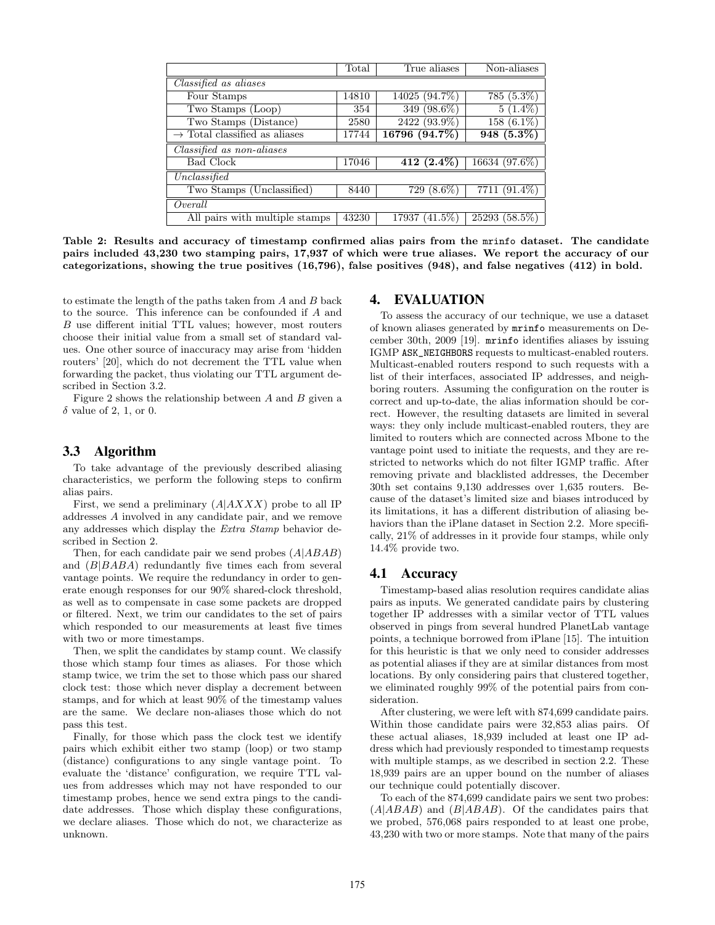|                                           | Total | True aliases        | Non-aliases         |
|-------------------------------------------|-------|---------------------|---------------------|
| Classified as aliases                     |       |                     |                     |
| Four Stamps                               | 14810 | 14025 (94.7%)       | 785 (5.3%)          |
| Two Stamps (Loop)                         | 354   | 349 (98.6%)         | $5(1.4\%)$          |
| Two Stamps (Distance)                     | 2580  | 2422 (93.9%)        | $158(6.1\%)$        |
| $\rightarrow$ Total classified as aliases | 17744 | 16796 (94.7%)       | 948 $(5.3\%)$       |
| Classified as non-aliases                 |       |                     |                     |
| <b>Bad Clock</b>                          | 17046 | $(2.4\%)$<br>412    | 16634 (97.6%)       |
| Unclassified                              |       |                     |                     |
| Two Stamps (Unclassified)                 | 8440  | 729 (8.6%)          | $(91.4\%)$<br>7711  |
| Overall                                   |       |                     |                     |
| All pairs with multiple stamps            | 43230 | $(41.5\%)$<br>17937 | 25293<br>$(58.5\%)$ |

Table 2: Results and accuracy of timestamp confirmed alias pairs from the mrinfo dataset. The candidate pairs included 43,230 two stamping pairs, 17,937 of which were true aliases. We report the accuracy of our categorizations, showing the true positives (16,796), false positives (948), and false negatives (412) in bold.

to estimate the length of the paths taken from  $A$  and  $B$  back to the source. This inference can be confounded if A and B use different initial TTL values; however, most routers choose their initial value from a small set of standard values. One other source of inaccuracy may arise from 'hidden routers' [20], which do not decrement the TTL value when forwarding the packet, thus violating our TTL argument described in Section 3.2.

Figure 2 shows the relationship between  $A$  and  $B$  given a  $\delta$  value of 2, 1, or 0.

## 3.3 Algorithm

To take advantage of the previously described aliasing characteristics, we perform the following steps to confirm alias pairs.

First, we send a preliminary  $(A|AXXX)$  probe to all IP addresses A involved in any candidate pair, and we remove any addresses which display the *Extra Stamp* behavior described in Section 2.

Then, for each candidate pair we send probes  $(A|ABAB)$ and  $(B|BABA)$  redundantly five times each from several vantage points. We require the redundancy in order to generate enough responses for our 90% shared-clock threshold, as well as to compensate in case some packets are dropped or filtered. Next, we trim our candidates to the set of pairs which responded to our measurements at least five times with two or more timestamps.

Then, we split the candidates by stamp count. We classify those which stamp four times as aliases. For those which stamp twice, we trim the set to those which pass our shared clock test: those which never display a decrement between stamps, and for which at least 90% of the timestamp values are the same. We declare non-aliases those which do not pass this test.

Finally, for those which pass the clock test we identify pairs which exhibit either two stamp (loop) or two stamp (distance) configurations to any single vantage point. To evaluate the 'distance' configuration, we require TTL values from addresses which may not have responded to our timestamp probes, hence we send extra pings to the candidate addresses. Those which display these configurations, we declare aliases. Those which do not, we characterize as unknown.

# 4. EVALUATION

To assess the accuracy of our technique, we use a dataset of known aliases generated by mrinfo measurements on December 30th, 2009 [19]. mrinfo identifies aliases by issuing IGMP ASK\_NEIGHBORS requests to multicast-enabled routers. Multicast-enabled routers respond to such requests with a list of their interfaces, associated IP addresses, and neighboring routers. Assuming the configuration on the router is correct and up-to-date, the alias information should be correct. However, the resulting datasets are limited in several ways: they only include multicast-enabled routers, they are limited to routers which are connected across Mbone to the vantage point used to initiate the requests, and they are restricted to networks which do not filter IGMP traffic. After removing private and blacklisted addresses, the December 30th set contains 9,130 addresses over 1,635 routers. Because of the dataset's limited size and biases introduced by its limitations, it has a different distribution of aliasing behaviors than the iPlane dataset in Section 2.2. More specifically, 21% of addresses in it provide four stamps, while only 14.4% provide two.

## 4.1 Accuracy

Timestamp-based alias resolution requires candidate alias pairs as inputs. We generated candidate pairs by clustering together IP addresses with a similar vector of TTL values observed in pings from several hundred PlanetLab vantage points, a technique borrowed from iPlane [15]. The intuition for this heuristic is that we only need to consider addresses as potential aliases if they are at similar distances from most locations. By only considering pairs that clustered together, we eliminated roughly 99% of the potential pairs from consideration.

After clustering, we were left with 874,699 candidate pairs. Within those candidate pairs were 32,853 alias pairs. Of these actual aliases, 18,939 included at least one IP address which had previously responded to timestamp requests with multiple stamps, as we described in section 2.2. These 18,939 pairs are an upper bound on the number of aliases our technique could potentially discover.

To each of the 874,699 candidate pairs we sent two probes:  $(A|ABAB)$  and  $(B|ABAB)$ . Of the candidates pairs that we probed, 576,068 pairs responded to at least one probe, 43,230 with two or more stamps. Note that many of the pairs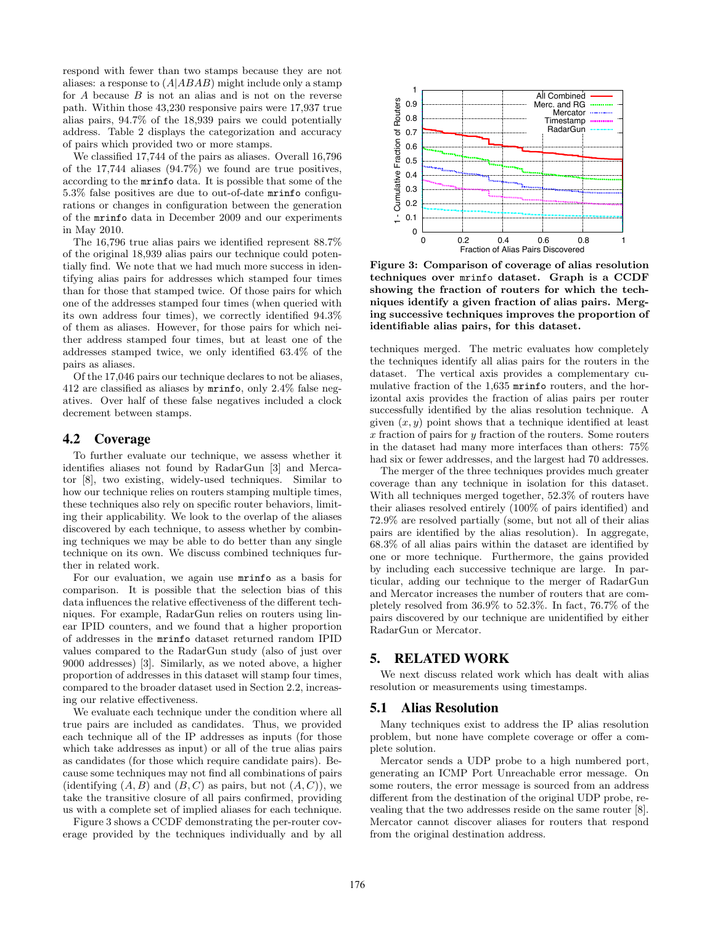respond with fewer than two stamps because they are not aliases: a response to  $(A|ABAB)$  might include only a stamp for  $A$  because  $B$  is not an alias and is not on the reverse path. Within those 43,230 responsive pairs were 17,937 true alias pairs, 94.7% of the 18,939 pairs we could potentially address. Table 2 displays the categorization and accuracy of pairs which provided two or more stamps.

We classified 17,744 of the pairs as aliases. Overall 16,796 of the 17,744 aliases (94.7%) we found are true positives, according to the mrinfo data. It is possible that some of the 5.3% false positives are due to out-of-date mrinfo configurations or changes in configuration between the generation of the mrinfo data in December 2009 and our experiments in May 2010.

The 16,796 true alias pairs we identified represent 88.7% of the original 18,939 alias pairs our technique could potentially find. We note that we had much more success in identifying alias pairs for addresses which stamped four times than for those that stamped twice. Of those pairs for which one of the addresses stamped four times (when queried with its own address four times), we correctly identified 94.3% of them as aliases. However, for those pairs for which neither address stamped four times, but at least one of the addresses stamped twice, we only identified 63.4% of the pairs as aliases.

Of the 17,046 pairs our technique declares to not be aliases, 412 are classified as aliases by mrinfo, only 2.4% false negatives. Over half of these false negatives included a clock decrement between stamps.

#### 4.2 Coverage

To further evaluate our technique, we assess whether it identifies aliases not found by RadarGun [3] and Mercator [8], two existing, widely-used techniques. Similar to how our technique relies on routers stamping multiple times, these techniques also rely on specific router behaviors, limiting their applicability. We look to the overlap of the aliases discovered by each technique, to assess whether by combining techniques we may be able to do better than any single technique on its own. We discuss combined techniques further in related work.

For our evaluation, we again use mrinfo as a basis for comparison. It is possible that the selection bias of this data influences the relative effectiveness of the different techniques. For example, RadarGun relies on routers using linear IPID counters, and we found that a higher proportion of addresses in the mrinfo dataset returned random IPID values compared to the RadarGun study (also of just over 9000 addresses) [3]. Similarly, as we noted above, a higher proportion of addresses in this dataset will stamp four times, compared to the broader dataset used in Section 2.2, increasing our relative effectiveness.

We evaluate each technique under the condition where all true pairs are included as candidates. Thus, we provided each technique all of the IP addresses as inputs (for those which take addresses as input) or all of the true alias pairs as candidates (for those which require candidate pairs). Because some techniques may not find all combinations of pairs (identifying  $(A, B)$  and  $(B, C)$  as pairs, but not  $(A, C)$ ), we take the transitive closure of all pairs confirmed, providing us with a complete set of implied aliases for each technique.

Figure 3 shows a CCDF demonstrating the per-router coverage provided by the techniques individually and by all



Figure 3: Comparison of coverage of alias resolution techniques over mrinfo dataset. Graph is a CCDF showing the fraction of routers for which the techniques identify a given fraction of alias pairs. Merging successive techniques improves the proportion of identifiable alias pairs, for this dataset.

techniques merged. The metric evaluates how completely the techniques identify all alias pairs for the routers in the dataset. The vertical axis provides a complementary cumulative fraction of the 1,635 mrinfo routers, and the horizontal axis provides the fraction of alias pairs per router successfully identified by the alias resolution technique. A given  $(x, y)$  point shows that a technique identified at least  $x$  fraction of pairs for  $y$  fraction of the routers. Some routers in the dataset had many more interfaces than others: 75% had six or fewer addresses, and the largest had 70 addresses.

The merger of the three techniques provides much greater coverage than any technique in isolation for this dataset. With all techniques merged together, 52.3% of routers have their aliases resolved entirely (100% of pairs identified) and 72.9% are resolved partially (some, but not all of their alias pairs are identified by the alias resolution). In aggregate, 68.3% of all alias pairs within the dataset are identified by one or more technique. Furthermore, the gains provided by including each successive technique are large. In particular, adding our technique to the merger of RadarGun and Mercator increases the number of routers that are completely resolved from 36.9% to 52.3%. In fact, 76.7% of the pairs discovered by our technique are unidentified by either RadarGun or Mercator.

# 5. RELATED WORK

We next discuss related work which has dealt with alias resolution or measurements using timestamps.

#### 5.1 Alias Resolution

Many techniques exist to address the IP alias resolution problem, but none have complete coverage or offer a complete solution.

Mercator sends a UDP probe to a high numbered port, generating an ICMP Port Unreachable error message. On some routers, the error message is sourced from an address different from the destination of the original UDP probe, revealing that the two addresses reside on the same router [8]. Mercator cannot discover aliases for routers that respond from the original destination address.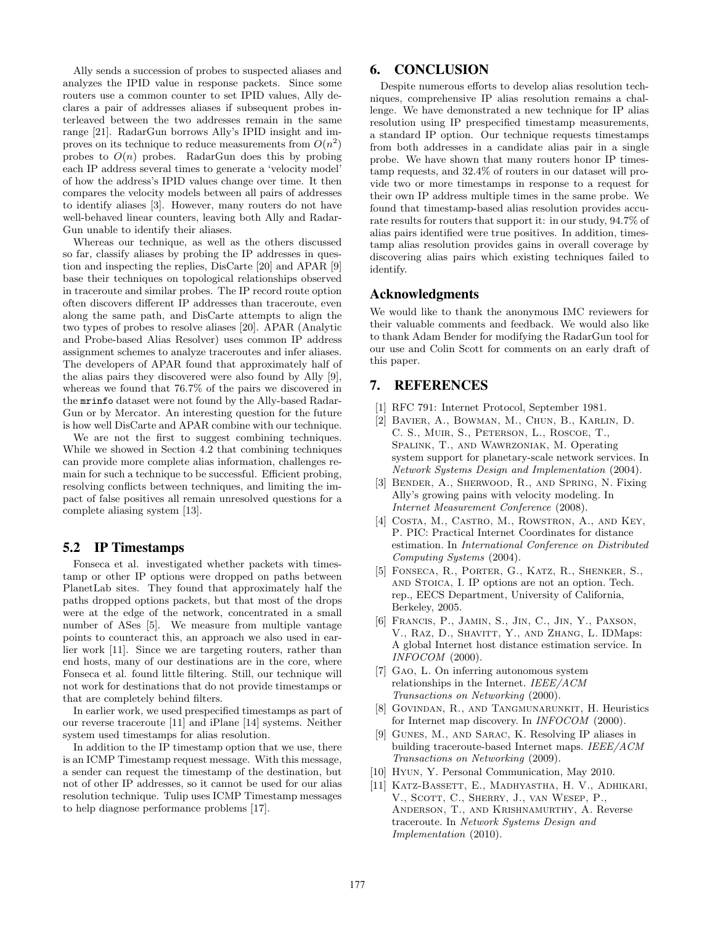Ally sends a succession of probes to suspected aliases and analyzes the IPID value in response packets. Since some routers use a common counter to set IPID values, Ally declares a pair of addresses aliases if subsequent probes interleaved between the two addresses remain in the same range [21]. RadarGun borrows Ally's IPID insight and improves on its technique to reduce measurements from  $O(n^2)$ probes to  $O(n)$  probes. RadarGun does this by probing each IP address several times to generate a 'velocity model' of how the address's IPID values change over time. It then compares the velocity models between all pairs of addresses to identify aliases [3]. However, many routers do not have well-behaved linear counters, leaving both Ally and Radar-Gun unable to identify their aliases.

Whereas our technique, as well as the others discussed so far, classify aliases by probing the IP addresses in question and inspecting the replies, DisCarte [20] and APAR [9] base their techniques on topological relationships observed in traceroute and similar probes. The IP record route option often discovers different IP addresses than traceroute, even along the same path, and DisCarte attempts to align the two types of probes to resolve aliases [20]. APAR (Analytic and Probe-based Alias Resolver) uses common IP address assignment schemes to analyze traceroutes and infer aliases. The developers of APAR found that approximately half of the alias pairs they discovered were also found by Ally [9], whereas we found that 76.7% of the pairs we discovered in the mrinfo dataset were not found by the Ally-based Radar-Gun or by Mercator. An interesting question for the future is how well DisCarte and APAR combine with our technique.

We are not the first to suggest combining techniques. While we showed in Section 4.2 that combining techniques can provide more complete alias information, challenges remain for such a technique to be successful. Efficient probing, resolving conflicts between techniques, and limiting the impact of false positives all remain unresolved questions for a complete aliasing system [13].

#### 5.2 IP Timestamps

Fonseca et al. investigated whether packets with timestamp or other IP options were dropped on paths between PlanetLab sites. They found that approximately half the paths dropped options packets, but that most of the drops were at the edge of the network, concentrated in a small number of ASes [5]. We measure from multiple vantage points to counteract this, an approach we also used in earlier work [11]. Since we are targeting routers, rather than end hosts, many of our destinations are in the core, where Fonseca et al. found little filtering. Still, our technique will not work for destinations that do not provide timestamps or that are completely behind filters.

In earlier work, we used prespecified timestamps as part of our reverse traceroute [11] and iPlane [14] systems. Neither system used timestamps for alias resolution.

In addition to the IP timestamp option that we use, there is an ICMP Timestamp request message. With this message, a sender can request the timestamp of the destination, but not of other IP addresses, so it cannot be used for our alias resolution technique. Tulip uses ICMP Timestamp messages to help diagnose performance problems [17].

# 6. CONCLUSION

Despite numerous efforts to develop alias resolution techniques, comprehensive IP alias resolution remains a challenge. We have demonstrated a new technique for IP alias resolution using IP prespecified timestamp measurements, a standard IP option. Our technique requests timestamps from both addresses in a candidate alias pair in a single probe. We have shown that many routers honor IP timestamp requests, and 32.4% of routers in our dataset will provide two or more timestamps in response to a request for their own IP address multiple times in the same probe. We found that timestamp-based alias resolution provides accurate results for routers that support it: in our study, 94.7% of alias pairs identified were true positives. In addition, timestamp alias resolution provides gains in overall coverage by discovering alias pairs which existing techniques failed to identify.

#### Acknowledgments

We would like to thank the anonymous IMC reviewers for their valuable comments and feedback. We would also like to thank Adam Bender for modifying the RadarGun tool for our use and Colin Scott for comments on an early draft of this paper.

# 7. REFERENCES

- [1] RFC 791: Internet Protocol, September 1981.
- [2] Bavier, A., Bowman, M., Chun, B., Karlin, D. C. S., Muir, S., Peterson, L., Roscoe, T., Spalink, T., and Wawrzoniak, M. Operating system support for planetary-scale network services. In *Network Systems Design and Implementation* (2004).
- [3] Bender, A., Sherwood, R., and Spring, N. Fixing Ally's growing pains with velocity modeling. In *Internet Measurement Conference* (2008).
- [4] COSTA, M., CASTRO, M., ROWSTRON, A., AND KEY, P. PIC: Practical Internet Coordinates for distance estimation. In *International Conference on Distributed Computing Systems* (2004).
- [5] Fonseca, R., Porter, G., Katz, R., Shenker, S., and Stoica, I. IP options are not an option. Tech. rep., EECS Department, University of California, Berkeley, 2005.
- [6] Francis, P., Jamin, S., Jin, C., Jin, Y., Paxson, V., RAZ, D., SHAVITT, Y., AND ZHANG, L. IDMaps: A global Internet host distance estimation service. In *INFOCOM* (2000).
- [7] Gao, L. On inferring autonomous system relationships in the Internet. *IEEE/ACM Transactions on Networking* (2000).
- [8] Govindan, R., and Tangmunarunkit, H. Heuristics for Internet map discovery. In *INFOCOM* (2000).
- [9] Gunes, M., and Sarac, K. Resolving IP aliases in building traceroute-based Internet maps. *IEEE/ACM Transactions on Networking* (2009).
- [10] Hyun, Y. Personal Communication, May 2010.
- [11] Katz-Bassett, E., Madhyastha, H. V., Adhikari, V., Scott, C., Sherry, J., van Wesep, P., Anderson, T., and Krishnamurthy, A. Reverse traceroute. In *Network Systems Design and Implementation* (2010).